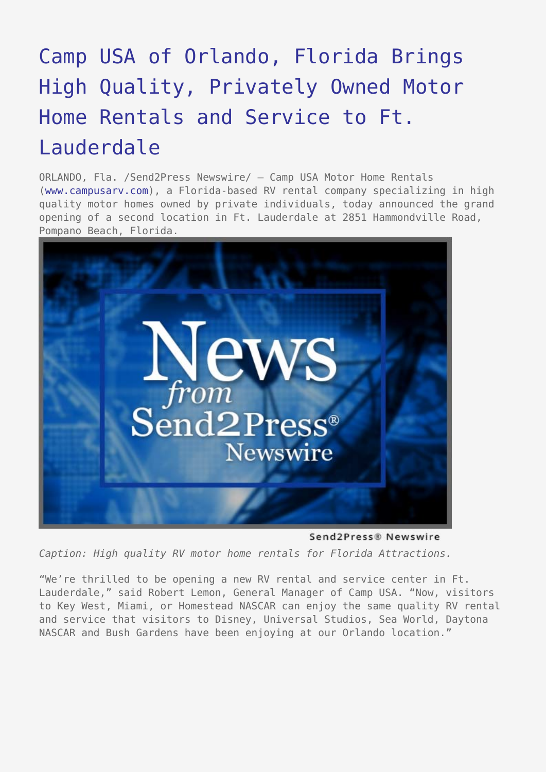## [Camp USA of Orlando, Florida Brings](https://www.send2press.com/wire/2005-02-0216-001/) [High Quality, Privately Owned Motor](https://www.send2press.com/wire/2005-02-0216-001/) [Home Rentals and Service to Ft.](https://www.send2press.com/wire/2005-02-0216-001/) [Lauderdale](https://www.send2press.com/wire/2005-02-0216-001/)

ORLANDO, Fla. /Send2Press Newswire/ — Camp USA Motor Home Rentals [\(www.campusarv.com\)](http://www.campusarv.com), a Florida-based RV rental company specializing in high quality motor homes owned by private individuals, today announced the grand opening of a second location in Ft. Lauderdale at 2851 Hammondville Road, Pompano Beach, Florida.



Send2Press® Newswire

*Caption: High quality RV motor home rentals for Florida Attractions.*

"We're thrilled to be opening a new RV rental and service center in Ft. Lauderdale," said Robert Lemon, General Manager of Camp USA. "Now, visitors to Key West, Miami, or Homestead NASCAR can enjoy the same quality RV rental and service that visitors to Disney, Universal Studios, Sea World, Daytona NASCAR and Bush Gardens have been enjoying at our Orlando location."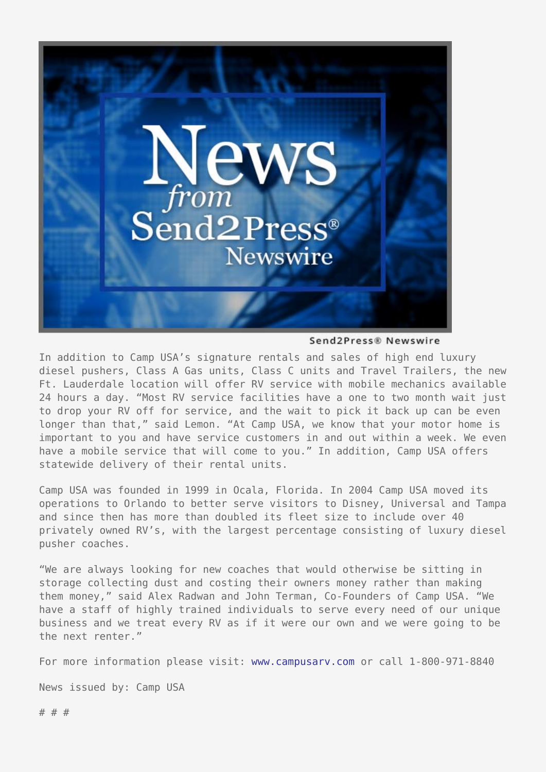

Send2Press® Newswire

In addition to Camp USA's signature rentals and sales of high end luxury diesel pushers, Class A Gas units, Class C units and Travel Trailers, the new Ft. Lauderdale location will offer RV service with mobile mechanics available 24 hours a day. "Most RV service facilities have a one to two month wait just to drop your RV off for service, and the wait to pick it back up can be even longer than that," said Lemon. "At Camp USA, we know that your motor home is important to you and have service customers in and out within a week. We even have a mobile service that will come to you." In addition, Camp USA offers statewide delivery of their rental units.

Camp USA was founded in 1999 in Ocala, Florida. In 2004 Camp USA moved its operations to Orlando to better serve visitors to Disney, Universal and Tampa and since then has more than doubled its fleet size to include over 40 privately owned RV's, with the largest percentage consisting of luxury diesel pusher coaches.

"We are always looking for new coaches that would otherwise be sitting in storage collecting dust and costing their owners money rather than making them money," said Alex Radwan and John Terman, Co-Founders of Camp USA. "We have a staff of highly trained individuals to serve every need of our unique business and we treat every RV as if it were our own and we were going to be the next renter."

For more information please visit: [www.campusarv.com](http://www.campusarv.com) or call 1-800-971-8840

News issued by: Camp USA